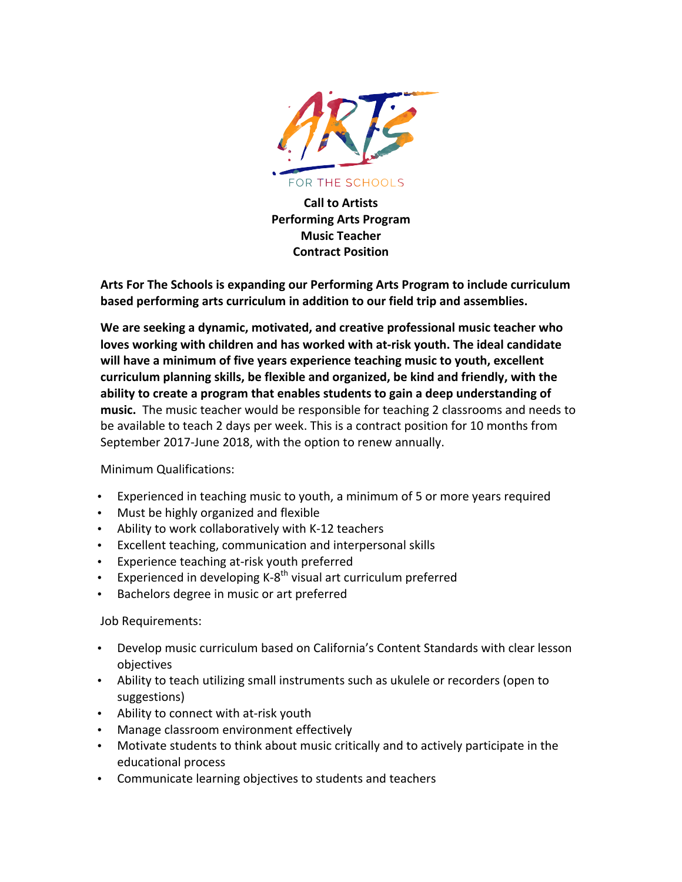

**Call to Artists Performing Arts Program Music Teacher Contract Position**

Arts For The Schools is expanding our Performing Arts Program to include curriculum **based performing arts curriculum in addition to our field trip and assemblies.** 

We are seeking a dynamic, motivated, and creative professional music teacher who loves working with children and has worked with at-risk youth. The ideal candidate will have a minimum of five years experience teaching music to youth, excellent curriculum planning skills, be flexible and organized, be kind and friendly, with the ability to create a program that enables students to gain a deep understanding of music. The music teacher would be responsible for teaching 2 classrooms and needs to be available to teach 2 days per week. This is a contract position for 10 months from September 2017-June 2018, with the option to renew annually.

## Minimum Qualifications:

- Experienced in teaching music to youth, a minimum of 5 or more years required
- Must be highly organized and flexible
- Ability to work collaboratively with K-12 teachers
- Excellent teaching, communication and interpersonal skills
- Experience teaching at-risk youth preferred
- Experienced in developing  $K-8^{th}$  visual art curriculum preferred
- Bachelors degree in music or art preferred

## Job Requirements:

- Develop music curriculum based on California's Content Standards with clear lesson objectives
- Ability to teach utilizing small instruments such as ukulele or recorders (open to suggestions)
- Ability to connect with at-risk youth
- Manage classroom environment effectively
- Motivate students to think about music critically and to actively participate in the educational process
- Communicate learning objectives to students and teachers